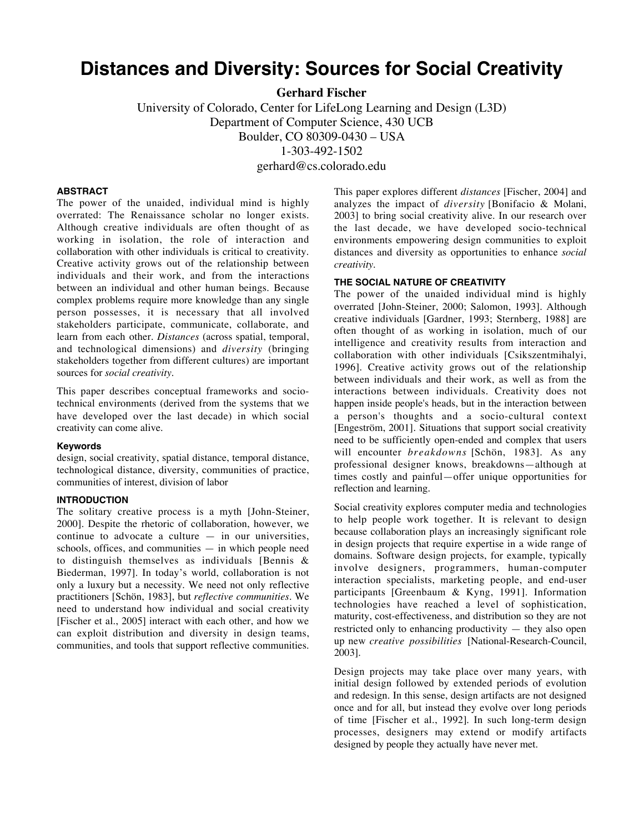# **Distances and Diversity: Sources for Social Creativity**

**Gerhard Fischer**

University of Colorado, Center for LifeLong Learning and Design (L3D) Department of Computer Science, 430 UCB Boulder, CO 80309-0430 – USA 1-303-492-1502 gerhard@cs.colorado.edu

## **ABSTRACT**

The power of the unaided, individual mind is highly overrated: The Renaissance scholar no longer exists. Although creative individuals are often thought of as working in isolation, the role of interaction and collaboration with other individuals is critical to creativity. Creative activity grows out of the relationship between individuals and their work, and from the interactions between an individual and other human beings. Because complex problems require more knowledge than any single person possesses, it is necessary that all involved stakeholders participate, communicate, collaborate, and learn from each other. *Distances* (across spatial, temporal, and technological dimensions) and *diversity* (bringing stakeholders together from different cultures) are important sources for *social creativity*.

This paper describes conceptual frameworks and sociotechnical environments (derived from the systems that we have developed over the last decade) in which social creativity can come alive.

## **Keywords**

design, social creativity, spatial distance, temporal distance, technological distance, diversity, communities of practice, communities of interest, division of labor

## **INTRODUCTION**

The solitary creative process is a myth [John-Steiner, 2000]. Despite the rhetoric of collaboration, however, we continue to advocate a culture  $-$  in our universities. schools, offices, and communities — in which people need to distinguish themselves as individuals [Bennis & Biederman, 1997]. In today's world, collaboration is not only a luxury but a necessity. We need not only reflective practitioners [Schön, 1983], but *reflective communities*. We need to understand how individual and social creativity [Fischer et al., 2005] interact with each other, and how we can exploit distribution and diversity in design teams, communities, and tools that support reflective communities.

This paper explores different *distances* [Fischer, 2004] and analyzes the impact of *diversity* [Bonifacio & Molani, 2003] to bring social creativity alive. In our research over the last decade, we have developed socio-technical environments empowering design communities to exploit distances and diversity as opportunities to enhance *social creativity*.

## **THE SOCIAL NATURE OF CREATIVITY**

The power of the unaided individual mind is highly overrated [John-Steiner, 2000; Salomon, 1993]. Although creative individuals [Gardner, 1993; Sternberg, 1988] are often thought of as working in isolation, much of our intelligence and creativity results from interaction and collaboration with other individuals [Csikszentmihalyi, 1996]. Creative activity grows out of the relationship between individuals and their work, as well as from the interactions between individuals. Creativity does not happen inside people's heads, but in the interaction between a person's thoughts and a socio-cultural context [Engeström, 2001]. Situations that support social creativity need to be sufficiently open-ended and complex that users will encounter *breakdowns* [Schön, 1983]. As any professional designer knows, breakdowns—although at times costly and painful—offer unique opportunities for reflection and learning.

Social creativity explores computer media and technologies to help people work together. It is relevant to design because collaboration plays an increasingly significant role in design projects that require expertise in a wide range of domains. Software design projects, for example, typically involve designers, programmers, human-computer interaction specialists, marketing people, and end-user participants [Greenbaum & Kyng, 1991]. Information technologies have reached a level of sophistication, maturity, cost-effectiveness, and distribution so they are not restricted only to enhancing productivity — they also open up new *creative possibilities* [National-Research-Council, 2003].

Design projects may take place over many years, with initial design followed by extended periods of evolution and redesign. In this sense, design artifacts are not designed once and for all, but instead they evolve over long periods of time [Fischer et al., 1992]. In such long-term design processes, designers may extend or modify artifacts designed by people they actually have never met.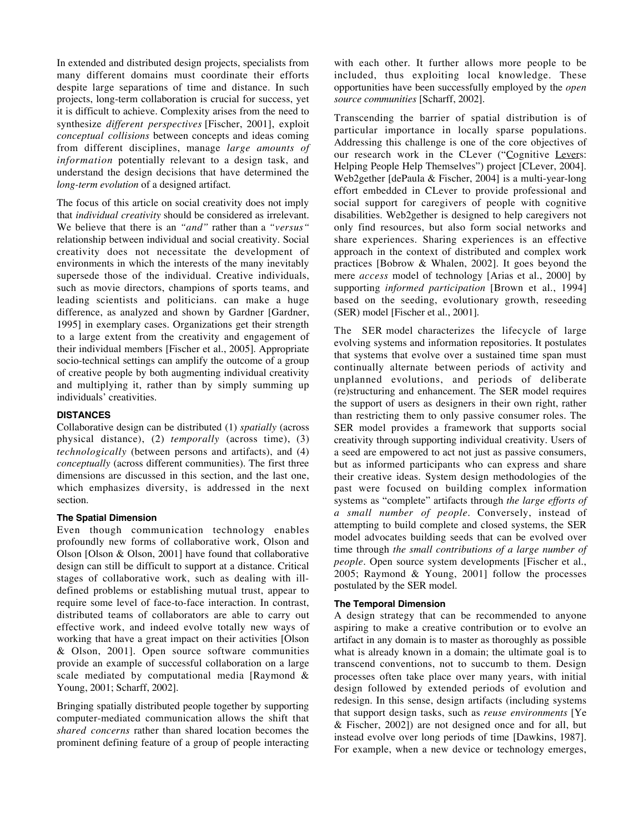In extended and distributed design projects, specialists from many different domains must coordinate their efforts despite large separations of time and distance. In such projects, long-term collaboration is crucial for success, yet it is difficult to achieve. Complexity arises from the need to synthesize *different perspectives* [Fischer, 2001], exploit *conceptual collisions* between concepts and ideas coming from different disciplines, manage *large amounts of information* potentially relevant to a design task, and understand the design decisions that have determined the *long-term evolution* of a designed artifact.

The focus of this article on social creativity does not imply that *individual creativity* should be considered as irrelevant. We believe that there is an *"and"* rather than a *"versus"* relationship between individual and social creativity. Social creativity does not necessitate the development of environments in which the interests of the many inevitably supersede those of the individual. Creative individuals, such as movie directors, champions of sports teams, and leading scientists and politicians. can make a huge difference, as analyzed and shown by Gardner [Gardner, 1995] in exemplary cases. Organizations get their strength to a large extent from the creativity and engagement of their individual members [Fischer et al., 2005]. Appropriate socio-technical settings can amplify the outcome of a group of creative people by both augmenting individual creativity and multiplying it, rather than by simply summing up individuals' creativities.

## **DISTANCES**

Collaborative design can be distributed (1) *spatially* (across physical distance), (2) *temporally* (across time), (3) *technologically* (between persons and artifacts), and (4) *conceptually* (across different communities). The first three dimensions are discussed in this section, and the last one, which emphasizes diversity, is addressed in the next section.

## **The Spatial Dimension**

Even though communication technology enables profoundly new forms of collaborative work, Olson and Olson [Olson & Olson, 2001] have found that collaborative design can still be difficult to support at a distance. Critical stages of collaborative work, such as dealing with illdefined problems or establishing mutual trust, appear to require some level of face-to-face interaction. In contrast, distributed teams of collaborators are able to carry out effective work, and indeed evolve totally new ways of working that have a great impact on their activities [Olson & Olson, 2001]. Open source software communities provide an example of successful collaboration on a large scale mediated by computational media [Raymond & Young, 2001; Scharff, 2002].

Bringing spatially distributed people together by supporting computer-mediated communication allows the shift that *shared concerns* rather than shared location becomes the prominent defining feature of a group of people interacting with each other. It further allows more people to be included, thus exploiting local knowledge. These opportunities have been successfully employed by the *open source communities* [Scharff, 2002].

Transcending the barrier of spatial distribution is of particular importance in locally sparse populations. Addressing this challenge is one of the core objectives of our research work in the CLever ("Cognitive Levers: Helping People Help Themselves") project [CLever, 2004]. Web2gether [dePaula & Fischer, 2004] is a multi-year-long effort embedded in CLever to provide professional and social support for caregivers of people with cognitive disabilities. Web2gether is designed to help caregivers not only find resources, but also form social networks and share experiences. Sharing experiences is an effective approach in the context of distributed and complex work practices [Bobrow & Whalen, 2002]. It goes beyond the mere *access* model of technology [Arias et al., 2000] by supporting *informed participation* [Brown et al., 1994] based on the seeding, evolutionary growth, reseeding (SER) model [Fischer et al., 2001].

The SER model characterizes the lifecycle of large evolving systems and information repositories. It postulates that systems that evolve over a sustained time span must continually alternate between periods of activity and unplanned evolutions, and periods of deliberate (re)structuring and enhancement. The SER model requires the support of users as designers in their own right, rather than restricting them to only passive consumer roles. The SER model provides a framework that supports social creativity through supporting individual creativity. Users of a seed are empowered to act not just as passive consumers, but as informed participants who can express and share their creative ideas. System design methodologies of the past were focused on building complex information systems as "complete" artifacts through *the large efforts of a small number of people*. Conversely, instead of attempting to build complete and closed systems, the SER model advocates building seeds that can be evolved over time through *the small contributions of a large number of people*. Open source system developments [Fischer et al., 2005; Raymond & Young, 2001] follow the processes postulated by the SER model.

## **The Temporal Dimension**

A design strategy that can be recommended to anyone aspiring to make a creative contribution or to evolve an artifact in any domain is to master as thoroughly as possible what is already known in a domain; the ultimate goal is to transcend conventions, not to succumb to them. Design processes often take place over many years, with initial design followed by extended periods of evolution and redesign. In this sense, design artifacts (including systems that support design tasks, such as *reuse environments* [Ye  $&$  Fischer, 2002]) are not designed once and for all, but instead evolve over long periods of time [Dawkins, 1987]. For example, when a new device or technology emerges,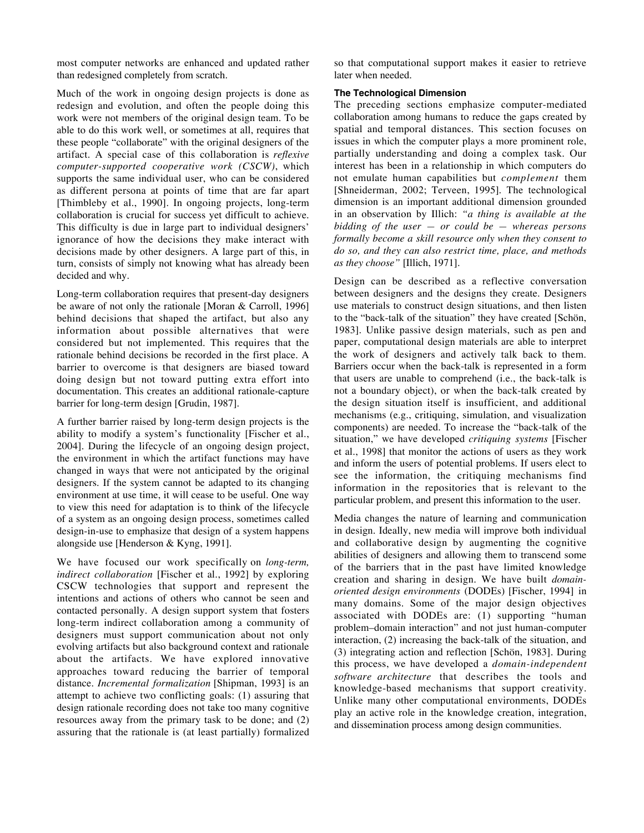most computer networks are enhanced and updated rather than redesigned completely from scratch.

Much of the work in ongoing design projects is done as redesign and evolution, and often the people doing this work were not members of the original design team. To be able to do this work well, or sometimes at all, requires that these people "collaborate" with the original designers of the artifact. A special case of this collaboration is *reflexive computer-supported cooperative work (CSCW)*, which supports the same individual user, who can be considered as different persona at points of time that are far apart [Thimbleby et al., 1990]. In ongoing projects, long-term collaboration is crucial for success yet difficult to achieve. This difficulty is due in large part to individual designers' ignorance of how the decisions they make interact with decisions made by other designers. A large part of this, in turn, consists of simply not knowing what has already been decided and why.

Long-term collaboration requires that present-day designers be aware of not only the rationale [Moran & Carroll, 1996] behind decisions that shaped the artifact, but also any information about possible alternatives that were considered but not implemented. This requires that the rationale behind decisions be recorded in the first place. A barrier to overcome is that designers are biased toward doing design but not toward putting extra effort into documentation. This creates an additional rationale-capture barrier for long-term design [Grudin, 1987].

A further barrier raised by long-term design projects is the ability to modify a system's functionality [Fischer et al., 2004]. During the lifecycle of an ongoing design project, the environment in which the artifact functions may have changed in ways that were not anticipated by the original designers. If the system cannot be adapted to its changing environment at use time, it will cease to be useful. One way to view this need for adaptation is to think of the lifecycle of a system as an ongoing design process, sometimes called design-in-use to emphasize that design of a system happens alongside use [Henderson & Kyng, 1991].

We have focused our work specifically on *long-term, indirect collaboration* [Fischer et al., 1992] by exploring CSCW technologies that support and represent the intentions and actions of others who cannot be seen and contacted personally. A design support system that fosters long-term indirect collaboration among a community of designers must support communication about not only evolving artifacts but also background context and rationale about the artifacts. We have explored innovative approaches toward reducing the barrier of temporal distance. *Incremental formalization* [Shipman, 1993] is an attempt to achieve two conflicting goals: (1) assuring that design rationale recording does not take too many cognitive resources away from the primary task to be done; and (2) assuring that the rationale is (at least partially) formalized so that computational support makes it easier to retrieve later when needed.

# **The Technological Dimension**

The preceding sections emphasize computer-mediated collaboration among humans to reduce the gaps created by spatial and temporal distances. This section focuses on issues in which the computer plays a more prominent role, partially understanding and doing a complex task. Our interest has been in a relationship in which computers do not emulate human capabilities but *complement* them [Shneiderman, 2002; Terveen, 1995]. The technological dimension is an important additional dimension grounded in an observation by Illich: *"a thing is available at the bidding of the user — or could be — whereas persons formally become a skill resource only when they consent to do so, and they can also restrict time, place, and methods as they choose"* [Illich, 1971].

Design can be described as a reflective conversation between designers and the designs they create. Designers use materials to construct design situations, and then listen to the "back-talk of the situation" they have created [Schön, 1983]. Unlike passive design materials, such as pen and paper, computational design materials are able to interpret the work of designers and actively talk back to them. Barriers occur when the back-talk is represented in a form that users are unable to comprehend (i.e., the back-talk is not a boundary object), or when the back-talk created by the design situation itself is insufficient, and additional mechanisms (e.g., critiquing, simulation, and visualization components) are needed. To increase the "back-talk of the situation," we have developed *critiquing systems* [Fischer et al., 1998] that monitor the actions of users as they work and inform the users of potential problems. If users elect to see the information, the critiquing mechanisms find information in the repositories that is relevant to the particular problem, and present this information to the user.

Media changes the nature of learning and communication in design. Ideally, new media will improve both individual and collaborative design by augmenting the cognitive abilities of designers and allowing them to transcend some of the barriers that in the past have limited knowledge creation and sharing in design. We have built *domainoriented design environments* (DODEs) [Fischer, 1994] in many domains. Some of the major design objectives associated with DODEs are: (1) supporting "human problem–domain interaction" and not just human-computer interaction, (2) increasing the back-talk of the situation, and (3) integrating action and reflection [Schön, 1983]. During this process, we have developed a *domain-independent software architecture* that describes the tools and knowledge-based mechanisms that support creativity. Unlike many other computational environments, DODEs play an active role in the knowledge creation, integration, and dissemination process among design communities.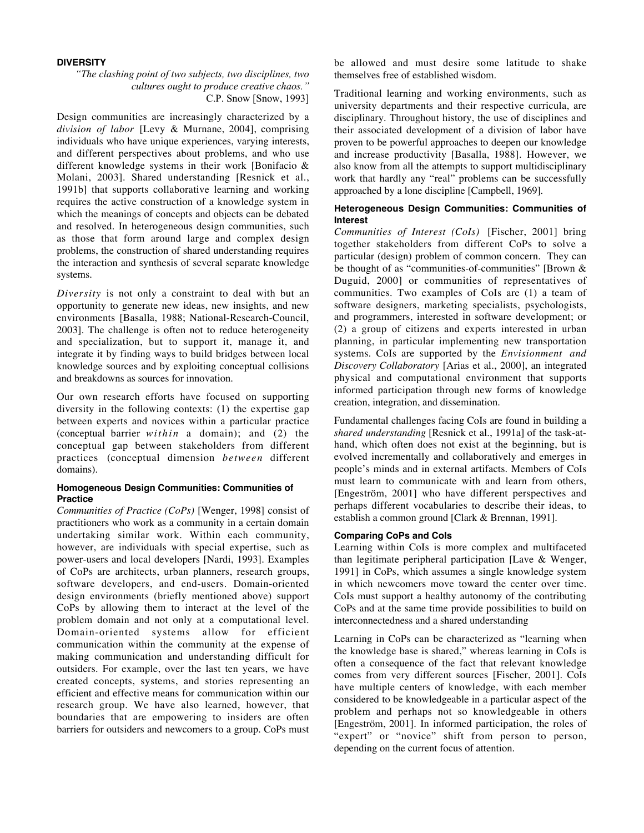## **DIVERSITY**

*"The clashing point of two subjects, two disciplines, two cultures ought to produce creative chaos."* C.P. Snow [Snow, 1993]

Design communities are increasingly characterized by a *division of labor* [Levy & Murnane, 2004], comprising individuals who have unique experiences, varying interests, and different perspectives about problems, and who use different knowledge systems in their work [Bonifacio & Molani, 2003]. Shared understanding [Resnick et al., 1991b] that supports collaborative learning and working requires the active construction of a knowledge system in which the meanings of concepts and objects can be debated and resolved. In heterogeneous design communities, such as those that form around large and complex design problems, the construction of shared understanding requires the interaction and synthesis of several separate knowledge systems.

*Diversity* is not only a constraint to deal with but an opportunity to generate new ideas, new insights, and new environments [Basalla, 1988; National-Research-Council, 2003]. The challenge is often not to reduce heterogeneity and specialization, but to support it, manage it, and integrate it by finding ways to build bridges between local knowledge sources and by exploiting conceptual collisions and breakdowns as sources for innovation.

Our own research efforts have focused on supporting diversity in the following contexts: (1) the expertise gap between experts and novices within a particular practice (conceptual barrier *within* a domain); and (2) the conceptual gap between stakeholders from different practices (conceptual dimension *between* different domains).

## **Homogeneous Design Communities: Communities of Practice**

*Communities of Practice (CoPs)* [Wenger, 1998] consist of practitioners who work as a community in a certain domain undertaking similar work. Within each community, however, are individuals with special expertise, such as power-users and local developers [Nardi, 1993]. Examples of CoPs are architects, urban planners, research groups, software developers, and end-users. Domain-oriented design environments (briefly mentioned above) support CoPs by allowing them to interact at the level of the problem domain and not only at a computational level. Domain-oriented systems allow for efficient communication within the community at the expense of making communication and understanding difficult for outsiders. For example, over the last ten years, we have created concepts, systems, and stories representing an efficient and effective means for communication within our research group. We have also learned, however, that boundaries that are empowering to insiders are often barriers for outsiders and newcomers to a group. CoPs must

be allowed and must desire some latitude to shake themselves free of established wisdom.

Traditional learning and working environments, such as university departments and their respective curricula, are disciplinary. Throughout history, the use of disciplines and their associated development of a division of labor have proven to be powerful approaches to deepen our knowledge and increase productivity [Basalla, 1988]. However, we also know from all the attempts to support multidisciplinary work that hardly any "real" problems can be successfully approached by a lone discipline [Campbell, 1969].

## **Heterogeneous Design Communities: Communities of Interest**

*Communities of Interest (CoIs)* [Fischer, 2001] bring together stakeholders from different CoPs to solve a particular (design) problem of common concern. They can be thought of as "communities-of-communities" [Brown & Duguid, 2000] or communities of representatives of communities. Two examples of CoIs are (1) a team of software designers, marketing specialists, psychologists, and programmers, interested in software development; or (2) a group of citizens and experts interested in urban planning, in particular implementing new transportation systems. CoIs are supported by the *Envisionment and Discovery Collaboratory* [Arias et al., 2000], an integrated physical and computational environment that supports informed participation through new forms of knowledge creation, integration, and dissemination.

Fundamental challenges facing CoIs are found in building a *shared understanding* [Resnick et al., 1991a] of the task-athand, which often does not exist at the beginning, but is evolved incrementally and collaboratively and emerges in people's minds and in external artifacts. Members of CoIs must learn to communicate with and learn from others, [Engeström, 2001] who have different perspectives and perhaps different vocabularies to describe their ideas, to establish a common ground [Clark & Brennan, 1991].

## **Comparing CoPs and CoIs**

Learning within CoIs is more complex and multifaceted than legitimate peripheral participation [Lave & Wenger, 1991] in CoPs, which assumes a single knowledge system in which newcomers move toward the center over time. CoIs must support a healthy autonomy of the contributing CoPs and at the same time provide possibilities to build on interconnectedness and a shared understanding

Learning in CoPs can be characterized as "learning when the knowledge base is shared," whereas learning in CoIs is often a consequence of the fact that relevant knowledge comes from very different sources [Fischer, 2001]. CoIs have multiple centers of knowledge, with each member considered to be knowledgeable in a particular aspect of the problem and perhaps not so knowledgeable in others [Engeström, 2001]. In informed participation, the roles of "expert" or "novice" shift from person to person, depending on the current focus of attention.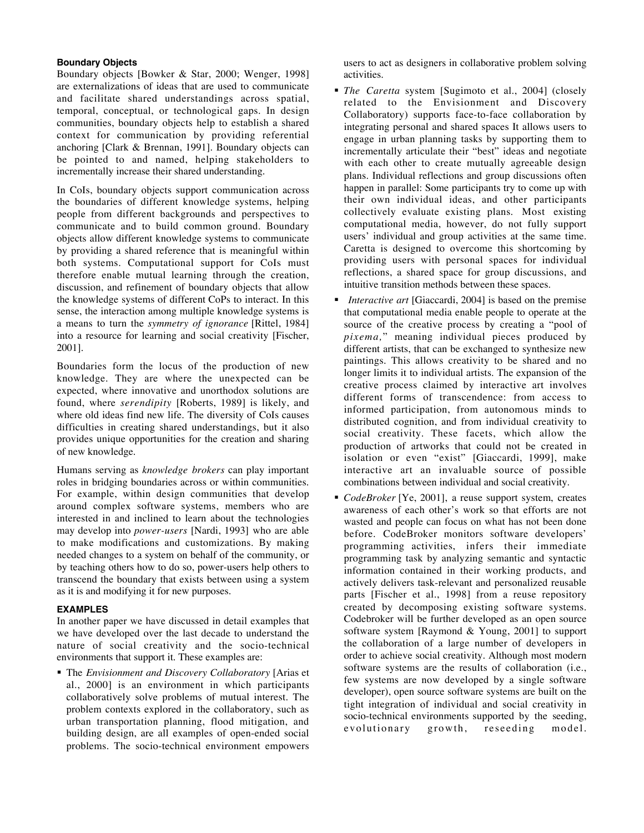## **Boundary Objects**

Boundary objects [Bowker & Star, 2000; Wenger, 1998] are externalizations of ideas that are used to communicate and facilitate shared understandings across spatial, temporal, conceptual, or technological gaps. In design communities, boundary objects help to establish a shared context for communication by providing referential anchoring [Clark & Brennan, 1991]. Boundary objects can be pointed to and named, helping stakeholders to incrementally increase their shared understanding.

In CoIs, boundary objects support communication across the boundaries of different knowledge systems, helping people from different backgrounds and perspectives to communicate and to build common ground. Boundary objects allow different knowledge systems to communicate by providing a shared reference that is meaningful within both systems. Computational support for CoIs must therefore enable mutual learning through the creation, discussion, and refinement of boundary objects that allow the knowledge systems of different CoPs to interact. In this sense, the interaction among multiple knowledge systems is a means to turn the *symmetry of ignorance* [Rittel, 1984] into a resource for learning and social creativity [Fischer, 2001].

Boundaries form the locus of the production of new knowledge. They are where the unexpected can be expected, where innovative and unorthodox solutions are found, where *serendipity* [Roberts, 1989] is likely, and where old ideas find new life. The diversity of CoIs causes difficulties in creating shared understandings, but it also provides unique opportunities for the creation and sharing of new knowledge.

Humans serving as *knowledge brokers* can play important roles in bridging boundaries across or within communities. For example, within design communities that develop around complex software systems, members who are interested in and inclined to learn about the technologies may develop into *power-users* [Nardi, 1993] who are able to make modifications and customizations. By making needed changes to a system on behalf of the community, or by teaching others how to do so, power-users help others to transcend the boundary that exists between using a system as it is and modifying it for new purposes.

## **EXAMPLES**

In another paper we have discussed in detail examples that we have developed over the last decade to understand the nature of social creativity and the socio-technical environments that support it. These examples are:

 The *Envisionment and Discovery Collaboratory* [Arias et al., 2000] is an environment in which participants collaboratively solve problems of mutual interest. The problem contexts explored in the collaboratory, such as urban transportation planning, flood mitigation, and building design, are all examples of open-ended social problems. The socio-technical environment empowers

users to act as designers in collaborative problem solving activities.

- *The Caretta* system [Sugimoto et al., 2004] (closely related to the Envisionment and Discovery Collaboratory) supports face-to-face collaboration by integrating personal and shared spaces It allows users to engage in urban planning tasks by supporting them to incrementally articulate their "best" ideas and negotiate with each other to create mutually agreeable design plans. Individual reflections and group discussions often happen in parallel: Some participants try to come up with their own individual ideas, and other participants collectively evaluate existing plans. Most existing computational media, however, do not fully support users' individual and group activities at the same time. Caretta is designed to overcome this shortcoming by providing users with personal spaces for individual reflections, a shared space for group discussions, and intuitive transition methods between these spaces.
- *Interactive art* [Giaccardi, 2004] is based on the premise that computational media enable people to operate at the source of the creative process by creating a "pool of *pixema,*" meaning individual pieces produced by different artists, that can be exchanged to synthesize new paintings. This allows creativity to be shared and no longer limits it to individual artists. The expansion of the creative process claimed by interactive art involves different forms of transcendence: from access to informed participation, from autonomous minds to distributed cognition, and from individual creativity to social creativity. These facets, which allow the production of artworks that could not be created in isolation or even "exist" [Giaccardi, 1999], make interactive art an invaluable source of possible combinations between individual and social creativity.
- *CodeBroker* [Ye, 2001], a reuse support system, creates awareness of each other's work so that efforts are not wasted and people can focus on what has not been done before. CodeBroker monitors software developers' programming activities, infers their immediate programming task by analyzing semantic and syntactic information contained in their working products, and actively delivers task-relevant and personalized reusable parts [Fischer et al., 1998] from a reuse repository created by decomposing existing software systems. Codebroker will be further developed as an open source software system [Raymond & Young, 2001] to support the collaboration of a large number of developers in order to achieve social creativity. Although most modern software systems are the results of collaboration (i.e., few systems are now developed by a single software developer), open source software systems are built on the tight integration of individual and social creativity in socio-technical environments supported by the seeding,<br>evolutionary growth, reseeding model. evolutionary growth, reseeding model.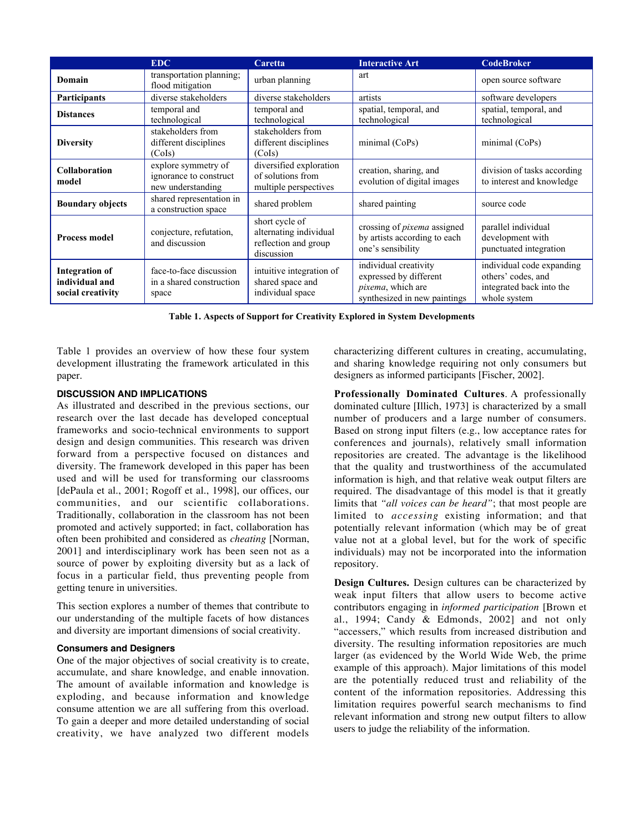|                                                       | <b>EDC</b>                                                         | Caretta                                                                        | <b>Interactive Art</b>                                                                               | <b>CodeBroker</b>                                                                           |
|-------------------------------------------------------|--------------------------------------------------------------------|--------------------------------------------------------------------------------|------------------------------------------------------------------------------------------------------|---------------------------------------------------------------------------------------------|
| Domain                                                | transportation planning;<br>flood mitigation                       | urban planning                                                                 | art                                                                                                  | open source software                                                                        |
| <b>Participants</b>                                   | diverse stakeholders                                               | diverse stakeholders                                                           | artists                                                                                              | software developers                                                                         |
| <b>Distances</b>                                      | temporal and<br>technological                                      | temporal and<br>technological                                                  | spatial, temporal, and<br>technological                                                              | spatial, temporal, and<br>technological                                                     |
| <b>Diversity</b>                                      | stakeholders from<br>different disciplines<br>(Cols)               | stakeholders from<br>different disciplines<br>(CoIs)                           | minimal (CoPs)                                                                                       | minimal (CoPs)                                                                              |
| <b>Collaboration</b><br>model                         | explore symmetry of<br>ignorance to construct<br>new understanding | diversified exploration<br>of solutions from<br>multiple perspectives          | creation, sharing, and<br>evolution of digital images                                                | division of tasks according<br>to interest and knowledge                                    |
| <b>Boundary objects</b>                               | shared representation in<br>a construction space                   | shared problem                                                                 | shared painting                                                                                      | source code                                                                                 |
| <b>Process model</b>                                  | conjecture, refutation,<br>and discussion                          | short cycle of<br>alternating individual<br>reflection and group<br>discussion | crossing of <i>pixema</i> assigned<br>by artists according to each<br>one's sensibility              | parallel individual<br>development with<br>punctuated integration                           |
| Integration of<br>individual and<br>social creativity | face-to-face discussion<br>in a shared construction<br>space       | intuitive integration of<br>shared space and<br>individual space               | individual creativity<br>expressed by different<br>pixema, which are<br>synthesized in new paintings | individual code expanding<br>others' codes, and<br>integrated back into the<br>whole system |

Table 1. Aspects of Support for Creativity Explored in System Developments

Table 1 provides an overview of how these four system development illustrating the framework articulated in this paper.

## **DISCUSSION AND IMPLICATIONS**

As illustrated and described in the previous sections, our research over the last decade has developed conceptual frameworks and socio-technical environments to support design and design communities. This research was driven forward from a perspective focused on distances and diversity. The framework developed in this paper has been used and will be used for transforming our classrooms [dePaula et al., 2001; Rogoff et al., 1998], our offices, our communities, and our scientific collaborations. Traditionally, collaboration in the classroom has not been promoted and actively supported; in fact, collaboration has often been prohibited and considered as *cheating* [Norman, 2001] and interdisciplinary work has been seen not as a source of power by exploiting diversity but as a lack of focus in a particular field, thus preventing people from getting tenure in universities.

This section explores a number of themes that contribute to our understanding of the multiple facets of how distances and diversity are important dimensions of social creativity.

# **Consumers and Designers**

One of the major objectives of social creativity is to create, accumulate, and share knowledge, and enable innovation. The amount of available information and knowledge is exploding, and because information and knowledge consume attention we are all suffering from this overload. To gain a deeper and more detailed understanding of social creativity, we have analyzed two different models characterizing different cultures in creating, accumulating, and sharing knowledge requiring not only consumers but designers as informed participants [Fischer, 2002].

Professionally Dominated Cultures. A professionally dominated culture [Illich, 1973] is characterized by a small number of producers and a large number of consumers. Based on strong input filters (e.g., low acceptance rates for conferences and journals), relatively small information repositories are created. The advantage is the likelihood that the quality and trustworthiness of the accumulated information is high, and that relative weak output filters are required. The disadvantage of this model is that it greatly limits that *"all voices can be heard"*; that most people are limited to *accessing* existing information; and that potentially relevant information (which may be of great value not at a global level, but for the work of specific individuals) may not be incorporated into the information repository.

Design Cultures. Design cultures can be characterized by weak input filters that allow users to become active contributors engaging in *informed participation* [Brown et al., 1994; Candy & Edmonds, 2002] and not only "accessers," which results from increased distribution and diversity. The resulting information repositories are much larger (as evidenced by the World Wide Web, the prime example of this approach). Major limitations of this model are the potentially reduced trust and reliability of the content of the information repositories. Addressing this limitation requires powerful search mechanisms to find relevant information and strong new output filters to allow users to judge the reliability of the information.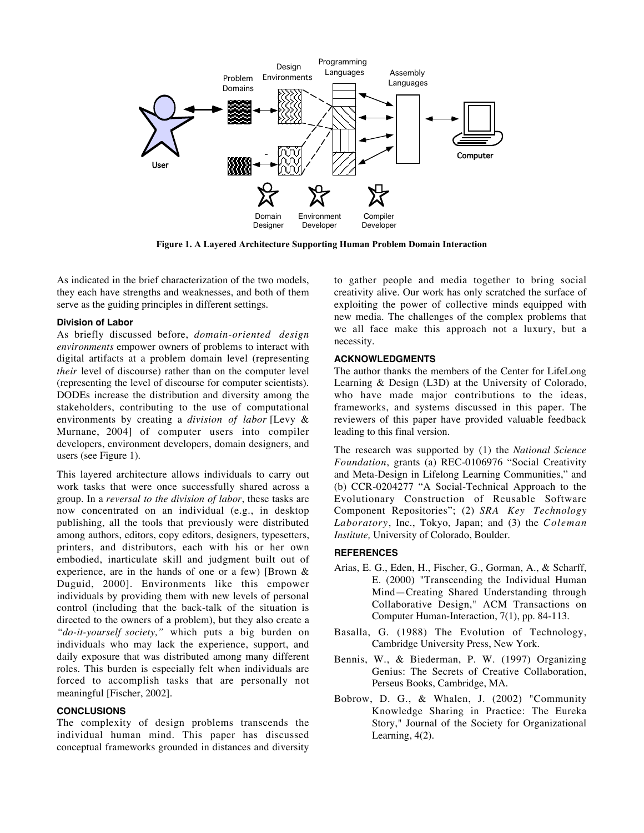

Figure 1. A Layered Architecture Supporting Human Problem Domain Interaction

As indicated in the brief characterization of the two models, they each have strengths and weaknesses, and both of them serve as the guiding principles in different settings.

## **Division of Labor**

As briefly discussed before, *domain-oriented design environments* empower owners of problems to interact with digital artifacts at a problem domain level (representing *their* level of discourse) rather than on the computer level (representing the level of discourse for computer scientists). DODEs increase the distribution and diversity among the stakeholders, contributing to the use of computational environments by creating a *division of labor* [Levy & Murnane, 2004] of computer users into compiler developers, environment developers, domain designers, and users (see Figure 1).

This layered architecture allows individuals to carry out work tasks that were once successfully shared across a group. In a *reversal to the division of labor*, these tasks are now concentrated on an individual (e.g., in desktop publishing, all the tools that previously were distributed among authors, editors, copy editors, designers, typesetters, printers, and distributors, each with his or her own embodied, inarticulate skill and judgment built out of experience, are in the hands of one or a few) [Brown & Duguid, 2000]. Environments like this empower individuals by providing them with new levels of personal control (including that the back-talk of the situation is directed to the owners of a problem), but they also create a *"do-it-yourself society,"* which puts a big burden on individuals who may lack the experience, support, and daily exposure that was distributed among many different roles. This burden is especially felt when individuals are forced to accomplish tasks that are personally not meaningful [Fischer, 2002].

## **CONCLUSIONS**

The complexity of design problems transcends the individual human mind. This paper has discussed conceptual frameworks grounded in distances and diversity

to gather people and media together to bring social creativity alive. Our work has only scratched the surface of exploiting the power of collective minds equipped with new media. The challenges of the complex problems that we all face make this approach not a luxury, but a necessity.

## **ACKNOWLEDGMENTS**

The author thanks the members of the Center for LifeLong Learning & Design (L3D) at the University of Colorado, who have made major contributions to the ideas, frameworks, and systems discussed in this paper. The reviewers of this paper have provided valuable feedback leading to this final version.

The research was supported by (1) the *National Science Foundation*, grants (a) REC-0106976 "Social Creativity and Meta-Design in Lifelong Learning Communities," and (b) CCR-0204277 "A Social-Technical Approach to the Evolutionary Construction of Reusable Software Component Repositories"; (2) *SRA Key Technology Laboratory*, Inc., Tokyo, Japan; and (3) the *Coleman Institute,* University of Colorado, Boulder.

# **REFERENCES**

- Arias, E. G., Eden, H., Fischer, G., Gorman, A., & Scharff, E. (2000) "Transcending the Individual Human Mind—Creating Shared Understanding through Collaborative Design," ACM Transactions on Computer Human-Interaction, 7(1), pp. 84-113.
- Basalla, G. (1988) The Evolution of Technology, Cambridge University Press, New York.
- Bennis, W., & Biederman, P. W. (1997) Organizing Genius: The Secrets of Creative Collaboration, Perseus Books, Cambridge, MA.
- Bobrow, D. G., & Whalen, J. (2002) "Community Knowledge Sharing in Practice: The Eureka Story," Journal of the Society for Organizational Learning, 4(2).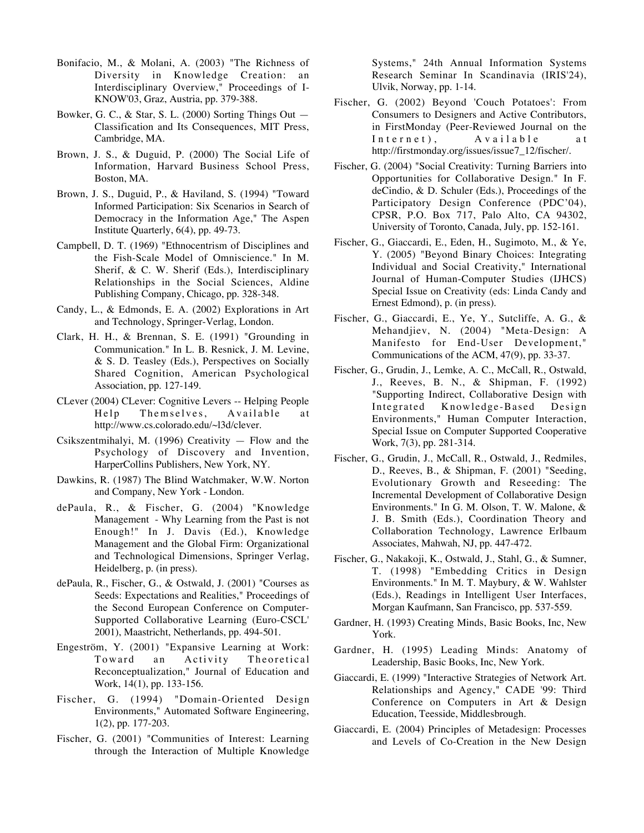- Bonifacio, M., & Molani, A. (2003) "The Richness of Diversity in Knowledge Creation: an Interdisciplinary Overview," Proceedings of I-KNOW'03, Graz, Austria, pp. 379-388.
- Bowker, G. C., & Star, S. L. (2000) Sorting Things Out Classification and Its Consequences, MIT Press, Cambridge, MA.
- Brown, J. S., & Duguid, P. (2000) The Social Life of Information, Harvard Business School Press, Boston, MA.
- Brown, J. S., Duguid, P., & Haviland, S. (1994) "Toward Informed Participation: Six Scenarios in Search of Democracy in the Information Age," The Aspen Institute Quarterly, 6(4), pp. 49-73.
- Campbell, D. T. (1969) "Ethnocentrism of Disciplines and the Fish-Scale Model of Omniscience." In M. Sherif, & C. W. Sherif (Eds.), Interdisciplinary Relationships in the Social Sciences, Aldine Publishing Company, Chicago, pp. 328-348.
- Candy, L., & Edmonds, E. A. (2002) Explorations in Art and Technology, Springer-Verlag, London.
- Clark, H. H., & Brennan, S. E. (1991) "Grounding in Communication." In L. B. Resnick, J. M. Levine, & S. D. Teasley (Eds.), Perspectives on Socially Shared Cognition, American Psychological Association, pp. 127-149.
- CLever (2004) CLever: Cognitive Levers -- Helping People Help Themselves, Available at http://www.cs.colorado.edu/~l3d/clever.
- Csikszentmihalyi, M. (1996) Creativity Flow and the Psychology of Discovery and Invention, HarperCollins Publishers, New York, NY.
- Dawkins, R. (1987) The Blind Watchmaker, W.W. Norton and Company, New York - London.
- dePaula, R., & Fischer, G. (2004) "Knowledge Management - Why Learning from the Past is not Enough!" In J. Davis (Ed.), Knowledge Management and the Global Firm: Organizational and Technological Dimensions, Springer Verlag, Heidelberg, p. (in press).
- dePaula, R., Fischer, G., & Ostwald, J. (2001) "Courses as Seeds: Expectations and Realities," Proceedings of the Second European Conference on Computer-Supported Collaborative Learning (Euro-CSCL' 2001), Maastricht, Netherlands, pp. 494-501.
- Engeström, Y. (2001) "Expansive Learning at Work: Toward an Activity Theoretical Reconceptualization," Journal of Education and Work, 14(1), pp. 133-156.
- Fischer, G. (1994) "Domain-Oriented Design Environments," Automated Software Engineering, 1(2), pp. 177-203.
- Fischer, G. (2001) "Communities of Interest: Learning through the Interaction of Multiple Knowledge

Systems," 24th Annual Information Systems Research Seminar In Scandinavia (IRIS'24), Ulvik, Norway, pp. 1-14.

- Fischer, G. (2002) Beyond 'Couch Potatoes': From Consumers to Designers and Active Contributors, in FirstMonday (Peer-Reviewed Journal on the Internet), Available at http://firstmonday.org/issues/issue7\_12/fischer/.
- Fischer, G. (2004) "Social Creativity: Turning Barriers into Opportunities for Collaborative Design." In F. deCindio, & D. Schuler (Eds.), Proceedings of the Participatory Design Conference (PDC'04), CPSR, P.O. Box 717, Palo Alto, CA 94302, University of Toronto, Canada, July, pp. 152-161.
- Fischer, G., Giaccardi, E., Eden, H., Sugimoto, M., & Ye, Y. (2005) "Beyond Binary Choices: Integrating Individual and Social Creativity," International Journal of Human-Computer Studies (IJHCS) Special Issue on Creativity (eds: Linda Candy and Ernest Edmond), p. (in press).
- Fischer, G., Giaccardi, E., Ye, Y., Sutcliffe, A. G., & Mehandjiev, N. (2004) "Meta-Design: A Manifesto for End-User Development," Communications of the ACM, 47(9), pp. 33-37.
- Fischer, G., Grudin, J., Lemke, A. C., McCall, R., Ostwald, J., Reeves, B. N., & Shipman, F. (1992) "Supporting Indirect, Collaborative Design with Integrated Knowledge-Based Design Environments," Human Computer Interaction, Special Issue on Computer Supported Cooperative Work, 7(3), pp. 281-314.
- Fischer, G., Grudin, J., McCall, R., Ostwald, J., Redmiles, D., Reeves, B., & Shipman, F. (2001) "Seeding, Evolutionary Growth and Reseeding: The Incremental Development of Collaborative Design Environments." In G. M. Olson, T. W. Malone, & J. B. Smith (Eds.), Coordination Theory and Collaboration Technology, Lawrence Erlbaum Associates, Mahwah, NJ, pp. 447-472.
- Fischer, G., Nakakoji, K., Ostwald, J., Stahl, G., & Sumner, T. (1998) "Embedding Critics in Design Environments." In M. T. Maybury, & W. Wahlster (Eds.), Readings in Intelligent User Interfaces, Morgan Kaufmann, San Francisco, pp. 537-559.
- Gardner, H. (1993) Creating Minds, Basic Books, Inc, New York.
- Gardner, H. (1995) Leading Minds: Anatomy of Leadership, Basic Books, Inc, New York.
- Giaccardi, E. (1999) "Interactive Strategies of Network Art. Relationships and Agency," CADE '99: Third Conference on Computers in Art & Design Education, Teesside, Middlesbrough.
- Giaccardi, E. (2004) Principles of Metadesign: Processes and Levels of Co-Creation in the New Design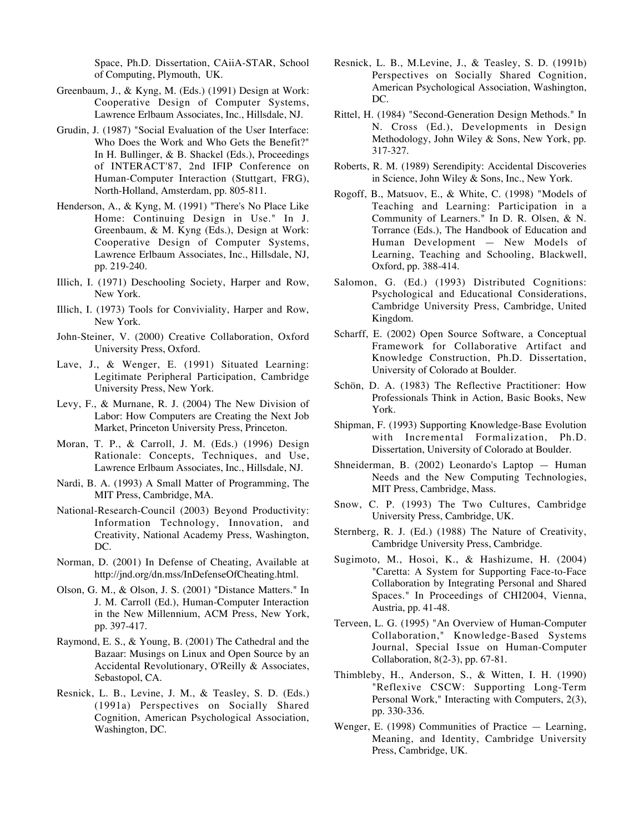Space, Ph.D. Dissertation, CAiiA-STAR, School of Computing, Plymouth, UK.

- Greenbaum, J., & Kyng, M. (Eds.) (1991) Design at Work: Cooperative Design of Computer Systems, Lawrence Erlbaum Associates, Inc., Hillsdale, NJ.
- Grudin, J. (1987) "Social Evaluation of the User Interface: Who Does the Work and Who Gets the Benefit?" In H. Bullinger, & B. Shackel (Eds.), Proceedings of INTERACT'87, 2nd IFIP Conference on Human-Computer Interaction (Stuttgart, FRG), North-Holland, Amsterdam, pp. 805-811.
- Henderson, A., & Kyng, M. (1991) "There's No Place Like Home: Continuing Design in Use." In J. Greenbaum, & M. Kyng (Eds.), Design at Work: Cooperative Design of Computer Systems, Lawrence Erlbaum Associates, Inc., Hillsdale, NJ, pp. 219-240.
- Illich, I. (1971) Deschooling Society, Harper and Row, New York.
- Illich, I. (1973) Tools for Conviviality, Harper and Row, New York.
- John-Steiner, V. (2000) Creative Collaboration, Oxford University Press, Oxford.
- Lave, J., & Wenger, E. (1991) Situated Learning: Legitimate Peripheral Participation, Cambridge University Press, New York.
- Levy, F., & Murnane, R. J. (2004) The New Division of Labor: How Computers are Creating the Next Job Market, Princeton University Press, Princeton.
- Moran, T. P., & Carroll, J. M. (Eds.) (1996) Design Rationale: Concepts, Techniques, and Use, Lawrence Erlbaum Associates, Inc., Hillsdale, NJ.
- Nardi, B. A. (1993) A Small Matter of Programming, The MIT Press, Cambridge, MA.
- National-Research-Council (2003) Beyond Productivity: Information Technology, Innovation, and Creativity, National Academy Press, Washington, DC.
- Norman, D. (2001) In Defense of Cheating, Available at http://jnd.org/dn.mss/InDefenseOfCheating.html.
- Olson, G. M., & Olson, J. S. (2001) "Distance Matters." In J. M. Carroll (Ed.), Human-Computer Interaction in the New Millennium, ACM Press, New York, pp. 397-417.
- Raymond, E. S., & Young, B. (2001) The Cathedral and the Bazaar: Musings on Linux and Open Source by an Accidental Revolutionary, O'Reilly & Associates, Sebastopol, CA.
- Resnick, L. B., Levine, J. M., & Teasley, S. D. (Eds.) (1991a) Perspectives on Socially Shared Cognition, American Psychological Association, Washington, DC.
- Resnick, L. B., M.Levine, J., & Teasley, S. D. (1991b) Perspectives on Socially Shared Cognition, American Psychological Association, Washington, DC.
- Rittel, H. (1984) "Second-Generation Design Methods." In N. Cross (Ed.), Developments in Design Methodology, John Wiley & Sons, New York, pp. 317-327.
- Roberts, R. M. (1989) Serendipity: Accidental Discoveries in Science, John Wiley & Sons, Inc., New York.
- Rogoff, B., Matsuov, E., & White, C. (1998) "Models of Teaching and Learning: Participation in a Community of Learners." In D. R. Olsen, & N. Torrance (Eds.), The Handbook of Education and Human Development — New Models of Learning, Teaching and Schooling, Blackwell, Oxford, pp. 388-414.
- Salomon, G. (Ed.) (1993) Distributed Cognitions: Psychological and Educational Considerations, Cambridge University Press, Cambridge, United Kingdom.
- Scharff, E. (2002) Open Source Software, a Conceptual Framework for Collaborative Artifact and Knowledge Construction, Ph.D. Dissertation, University of Colorado at Boulder.
- Schön, D. A. (1983) The Reflective Practitioner: How Professionals Think in Action, Basic Books, New York.
- Shipman, F. (1993) Supporting Knowledge-Base Evolution with Incremental Formalization, Ph.D. Dissertation, University of Colorado at Boulder.
- Shneiderman, B. (2002) Leonardo's Laptop Human Needs and the New Computing Technologies, MIT Press, Cambridge, Mass.
- Snow, C. P. (1993) The Two Cultures, Cambridge University Press, Cambridge, UK.
- Sternberg, R. J. (Ed.) (1988) The Nature of Creativity, Cambridge University Press, Cambridge.
- Sugimoto, M., Hosoi, K., & Hashizume, H. (2004) "Caretta: A System for Supporting Face-to-Face Collaboration by Integrating Personal and Shared Spaces." In Proceedings of CHI2004, Vienna, Austria, pp. 41-48.
- Terveen, L. G. (1995) "An Overview of Human-Computer Collaboration," Knowledge-Based Systems Journal, Special Issue on Human-Computer Collaboration, 8(2-3), pp. 67-81.
- Thimbleby, H., Anderson, S., & Witten, I. H. (1990) "Reflexive CSCW: Supporting Long-Term Personal Work," Interacting with Computers, 2(3), pp. 330-336.
- Wenger, E. (1998) Communities of Practice Learning, Meaning, and Identity, Cambridge University Press, Cambridge, UK.